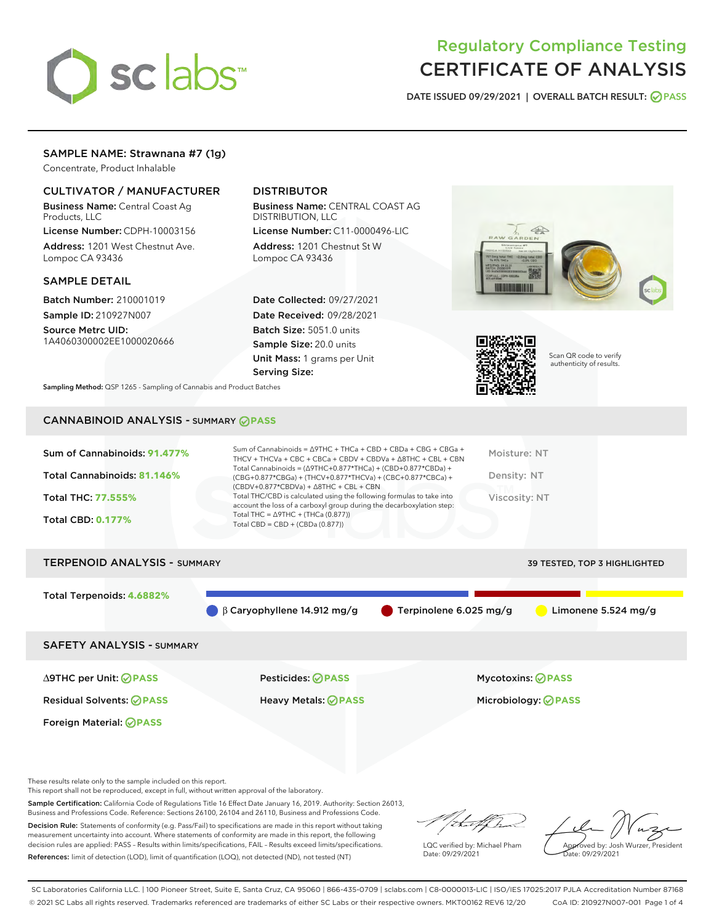# sclabs<sup>\*</sup>

# Regulatory Compliance Testing CERTIFICATE OF ANALYSIS

DATE ISSUED 09/29/2021 | OVERALL BATCH RESULT: @ PASS

## SAMPLE NAME: Strawnana #7 (1g)

Concentrate, Product Inhalable

## CULTIVATOR / MANUFACTURER

Business Name: Central Coast Ag Products, LLC

License Number: CDPH-10003156 Address: 1201 West Chestnut Ave. Lompoc CA 93436

#### SAMPLE DETAIL

Batch Number: 210001019 Sample ID: 210927N007

Source Metrc UID: 1A4060300002EE1000020666

# DISTRIBUTOR

Business Name: CENTRAL COAST AG DISTRIBUTION, LLC

License Number: C11-0000496-LIC Address: 1201 Chestnut St W Lompoc CA 93436

Date Collected: 09/27/2021 Date Received: 09/28/2021 Batch Size: 5051.0 units Sample Size: 20.0 units Unit Mass: 1 grams per Unit Serving Size:





Scan QR code to verify authenticity of results.

Sampling Method: QSP 1265 - Sampling of Cannabis and Product Batches

# CANNABINOID ANALYSIS - SUMMARY **PASS**



| <b>TERPENOID ANALYSIS - SUMMARY</b> | 39 TESTED, TOP 3 HIGHLIGHTED      |                                  |                     |
|-------------------------------------|-----------------------------------|----------------------------------|---------------------|
| Total Terpenoids: 4.6882%           |                                   |                                  |                     |
|                                     | $\beta$ Caryophyllene 14.912 mg/g | $\bullet$ Terpinolene 6.025 mg/g | Limonene 5.524 mg/g |
| <b>SAFETY ANALYSIS - SUMMARY</b>    |                                   |                                  |                     |
|                                     |                                   |                                  |                     |

Foreign Material: **PASS**

∆9THC per Unit: **PASS** Pesticides: **PASS** Mycotoxins: **PASS**

Residual Solvents: **PASS** Heavy Metals: **PASS** Microbiology: **PASS**

These results relate only to the sample included on this report.

This report shall not be reproduced, except in full, without written approval of the laboratory.

Sample Certification: California Code of Regulations Title 16 Effect Date January 16, 2019. Authority: Section 26013, Business and Professions Code. Reference: Sections 26100, 26104 and 26110, Business and Professions Code.

Decision Rule: Statements of conformity (e.g. Pass/Fail) to specifications are made in this report without taking measurement uncertainty into account. Where statements of conformity are made in this report, the following decision rules are applied: PASS – Results within limits/specifications, FAIL – Results exceed limits/specifications. References: limit of detection (LOD), limit of quantification (LOQ), not detected (ND), not tested (NT)

(that formal

LQC verified by: Michael Pham Date: 09/29/2021

Approved by: Josh Wurzer, President ate: 09/29/2021

SC Laboratories California LLC. | 100 Pioneer Street, Suite E, Santa Cruz, CA 95060 | 866-435-0709 | sclabs.com | C8-0000013-LIC | ISO/IES 17025:2017 PJLA Accreditation Number 87168 © 2021 SC Labs all rights reserved. Trademarks referenced are trademarks of either SC Labs or their respective owners. MKT00162 REV6 12/20 CoA ID: 210927N007-001 Page 1 of 4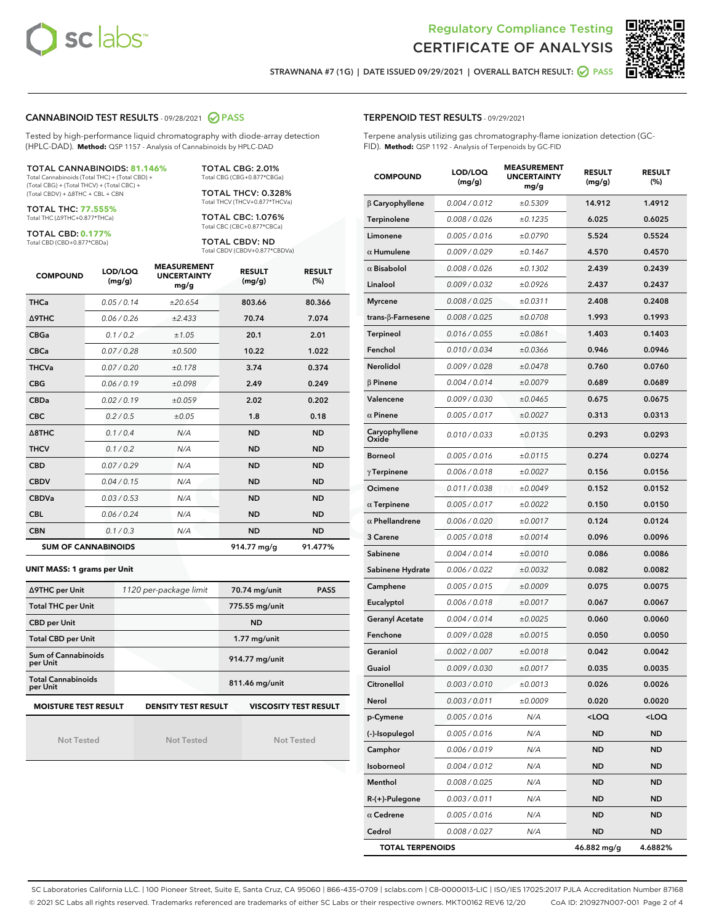



STRAWNANA #7 (1G) | DATE ISSUED 09/29/2021 | OVERALL BATCH RESULT: @ PASS

#### CANNABINOID TEST RESULTS - 09/28/2021 2 PASS

Tested by high-performance liquid chromatography with diode-array detection (HPLC-DAD). **Method:** QSP 1157 - Analysis of Cannabinoids by HPLC-DAD

#### TOTAL CANNABINOIDS: **81.146%**

Total Cannabinoids (Total THC) + (Total CBD) + (Total CBG) + (Total THCV) + (Total CBC) + (Total CBDV) + ∆8THC + CBL + CBN

TOTAL THC: **77.555%** Total THC (∆9THC+0.877\*THCa)

TOTAL CBD: **0.177%**

Total CBD (CBD+0.877\*CBDa)

TOTAL CBG: 2.01% Total CBG (CBG+0.877\*CBGa)

TOTAL THCV: 0.328% Total THCV (THCV+0.877\*THCVa)

TOTAL CBC: 1.076% Total CBC (CBC+0.877\*CBCa)

TOTAL CBDV: ND Total CBDV (CBDV+0.877\*CBDVa)

| <b>COMPOUND</b>  | LOD/LOQ<br>(mg/g)          | <b>MEASUREMENT</b><br><b>UNCERTAINTY</b><br>mg/g | <b>RESULT</b><br>(mg/g) | <b>RESULT</b><br>(%) |
|------------------|----------------------------|--------------------------------------------------|-------------------------|----------------------|
| <b>THCa</b>      | 0.05/0.14                  | ±20.654                                          | 803.66                  | 80.366               |
| <b>A9THC</b>     | 0.06 / 0.26                | ±2.433                                           | 70.74                   | 7.074                |
| <b>CBGa</b>      | 0.1 / 0.2                  | ±1.05                                            | 20.1                    | 2.01                 |
| <b>CBCa</b>      | 0.07 / 0.28                | ±0.500                                           | 10.22                   | 1.022                |
| <b>THCVa</b>     | 0.07/0.20                  | ±0.178                                           | 3.74                    | 0.374                |
| <b>CBG</b>       | 0.06/0.19                  | ±0.098                                           | 2.49                    | 0.249                |
| <b>CBDa</b>      | 0.02/0.19                  | ±0.059                                           | 2.02                    | 0.202                |
| <b>CBC</b>       | 0.2 / 0.5                  | ±0.05                                            | 1.8                     | 0.18                 |
| $\triangle$ 8THC | 0.1 / 0.4                  | N/A                                              | <b>ND</b>               | <b>ND</b>            |
| <b>THCV</b>      | 0.1/0.2                    | N/A                                              | <b>ND</b>               | <b>ND</b>            |
| <b>CBD</b>       | 0.07/0.29                  | N/A                                              | <b>ND</b>               | <b>ND</b>            |
| <b>CBDV</b>      | 0.04 / 0.15                | N/A                                              | <b>ND</b>               | <b>ND</b>            |
| <b>CBDVa</b>     | 0.03/0.53                  | N/A                                              | <b>ND</b>               | <b>ND</b>            |
| <b>CBL</b>       | 0.06 / 0.24                | N/A                                              | <b>ND</b>               | <b>ND</b>            |
| <b>CBN</b>       | 0.1/0.3                    | N/A                                              | <b>ND</b>               | <b>ND</b>            |
|                  | <b>SUM OF CANNABINOIDS</b> |                                                  | 914.77 mg/g             | 91.477%              |

#### **UNIT MASS: 1 grams per Unit**

| ∆9THC per Unit                        | 1120 per-package limit                                                                    | 70.74 mg/unit<br><b>PASS</b> |  |  |  |  |
|---------------------------------------|-------------------------------------------------------------------------------------------|------------------------------|--|--|--|--|
| <b>Total THC per Unit</b>             |                                                                                           | 775.55 mg/unit               |  |  |  |  |
| <b>CBD</b> per Unit                   |                                                                                           | <b>ND</b>                    |  |  |  |  |
| <b>Total CBD per Unit</b>             |                                                                                           | $1.77$ mg/unit               |  |  |  |  |
| Sum of Cannabinoids<br>per Unit       |                                                                                           | 914.77 mg/unit               |  |  |  |  |
| <b>Total Cannabinoids</b><br>per Unit |                                                                                           | 811.46 mg/unit               |  |  |  |  |
|                                       | <b>MOISTURE TEST RESULT</b><br><b>DENSITY TEST RESULT</b><br><b>VISCOSITY TEST RESULT</b> |                              |  |  |  |  |

Not Tested

| <b>Not Tested</b> |  |  |  |  |
|-------------------|--|--|--|--|
|                   |  |  |  |  |

Not Tested

#### TERPENOID TEST RESULTS - 09/29/2021

Terpene analysis utilizing gas chromatography-flame ionization detection (GC-FID). **Method:** QSP 1192 - Analysis of Terpenoids by GC-FID

| <b>COMPOUND</b>           | LOD/LOQ<br>(mg/g) | <b>MEASUREMENT</b><br><b>UNCERTAINTY</b><br>mg/g | <b>RESULT</b><br>(mg/g)                         | <b>RESULT</b><br>$(\%)$ |
|---------------------------|-------------------|--------------------------------------------------|-------------------------------------------------|-------------------------|
| $\beta$ Caryophyllene     | 0.004 / 0.012     | ±0.5309                                          | 14.912                                          | 1.4912                  |
| Terpinolene               | 0.008 / 0.026     | ±0.1235                                          | 6.025                                           | 0.6025                  |
| Limonene                  | 0.005 / 0.016     | ±0.0790                                          | 5.524                                           | 0.5524                  |
| $\alpha$ Humulene         | 0.009 / 0.029     | ±0.1467                                          | 4.570                                           | 0.4570                  |
| $\alpha$ Bisabolol        | 0.008 / 0.026     | ±0.1302                                          | 2.439                                           | 0.2439                  |
| Linalool                  | 0.009 / 0.032     | ±0.0926                                          | 2.437                                           | 0.2437                  |
| <b>Myrcene</b>            | 0.008 / 0.025     | ±0.0311                                          | 2.408                                           | 0.2408                  |
| trans- $\beta$ -Farnesene | 0.008 / 0.025     | ±0.0708                                          | 1.993                                           | 0.1993                  |
| <b>Terpineol</b>          | 0.016 / 0.055     | ±0.0861                                          | 1.403                                           | 0.1403                  |
| Fenchol                   | 0.010 / 0.034     | ±0.0366                                          | 0.946                                           | 0.0946                  |
| Nerolidol                 | 0.009 / 0.028     | ±0.0478                                          | 0.760                                           | 0.0760                  |
| $\beta$ Pinene            | 0.004 / 0.014     | ±0.0079                                          | 0.689                                           | 0.0689                  |
| Valencene                 | 0.009 / 0.030     | ±0.0465                                          | 0.675                                           | 0.0675                  |
| $\alpha$ Pinene           | 0.005 / 0.017     | ±0.0027                                          | 0.313                                           | 0.0313                  |
| Caryophyllene<br>Oxide    | 0.010 / 0.033     | ±0.0135                                          | 0.293                                           | 0.0293                  |
| <b>Borneol</b>            | 0.005 / 0.016     | ±0.0115                                          | 0.274                                           | 0.0274                  |
| $\gamma$ Terpinene        | 0.006 / 0.018     | ±0.0027                                          | 0.156                                           | 0.0156                  |
| Ocimene                   | 0.011 / 0.038     | ±0.0049                                          | 0.152                                           | 0.0152                  |
| $\alpha$ Terpinene        | 0.005 / 0.017     | ±0.0022                                          | 0.150                                           | 0.0150                  |
| $\alpha$ Phellandrene     | 0.006 / 0.020     | ±0.0017                                          | 0.124                                           | 0.0124                  |
| 3 Carene                  | 0.005 / 0.018     | ±0.0014                                          | 0.096                                           | 0.0096                  |
| Sabinene                  | 0.004 / 0.014     | ±0.0010                                          | 0.086                                           | 0.0086                  |
| Sabinene Hydrate          | 0.006 / 0.022     | ±0.0032                                          | 0.082                                           | 0.0082                  |
| Camphene                  | 0.005 / 0.015     | ±0.0009                                          | 0.075                                           | 0.0075                  |
| Eucalyptol                | 0.006 / 0.018     | ±0.0017                                          | 0.067                                           | 0.0067                  |
| <b>Geranyl Acetate</b>    | 0.004 / 0.014     | ±0.0025                                          | 0.060                                           | 0.0060                  |
| Fenchone                  | 0.009 / 0.028     | ±0.0015                                          | 0.050                                           | 0.0050                  |
| Geraniol                  | 0.002 / 0.007     | ±0.0018                                          | 0.042                                           | 0.0042                  |
| Guaiol                    | 0.009 / 0.030     | ±0.0017                                          | 0.035                                           | 0.0035                  |
| Citronellol               | 0.003 / 0.010     | ±0.0013                                          | 0.026                                           | 0.0026                  |
| Nerol                     | 0.003 / 0.011     | ±0.0009                                          | 0.020                                           | 0.0020                  |
| p-Cymene                  | 0.005 / 0.016     | N/A                                              | <loq< th=""><th><loq< th=""></loq<></th></loq<> | <loq< th=""></loq<>     |
| (-)-Isopulegol            | 0.005 / 0.016     | N/A                                              | ND                                              | ND                      |
| Camphor                   | 0.006 / 0.019     | N/A                                              | ND                                              | <b>ND</b>               |
| Isoborneol                | 0.004 / 0.012     | N/A                                              | ND                                              | ND                      |
| Menthol                   | 0.008 / 0.025     | N/A                                              | ND                                              | ND                      |
| R-(+)-Pulegone            | 0.003 / 0.011     | N/A                                              | ND                                              | <b>ND</b>               |
| $\alpha$ Cedrene          | 0.005 / 0.016     | N/A                                              | ND                                              | ND                      |
| Cedrol                    | 0.008 / 0.027     | N/A                                              | ND                                              | <b>ND</b>               |
| <b>TOTAL TERPENOIDS</b>   |                   |                                                  | 46.882 mg/g                                     | 4.6882%                 |

SC Laboratories California LLC. | 100 Pioneer Street, Suite E, Santa Cruz, CA 95060 | 866-435-0709 | sclabs.com | C8-0000013-LIC | ISO/IES 17025:2017 PJLA Accreditation Number 87168 © 2021 SC Labs all rights reserved. Trademarks referenced are trademarks of either SC Labs or their respective owners. MKT00162 REV6 12/20 CoA ID: 210927N007-001 Page 2 of 4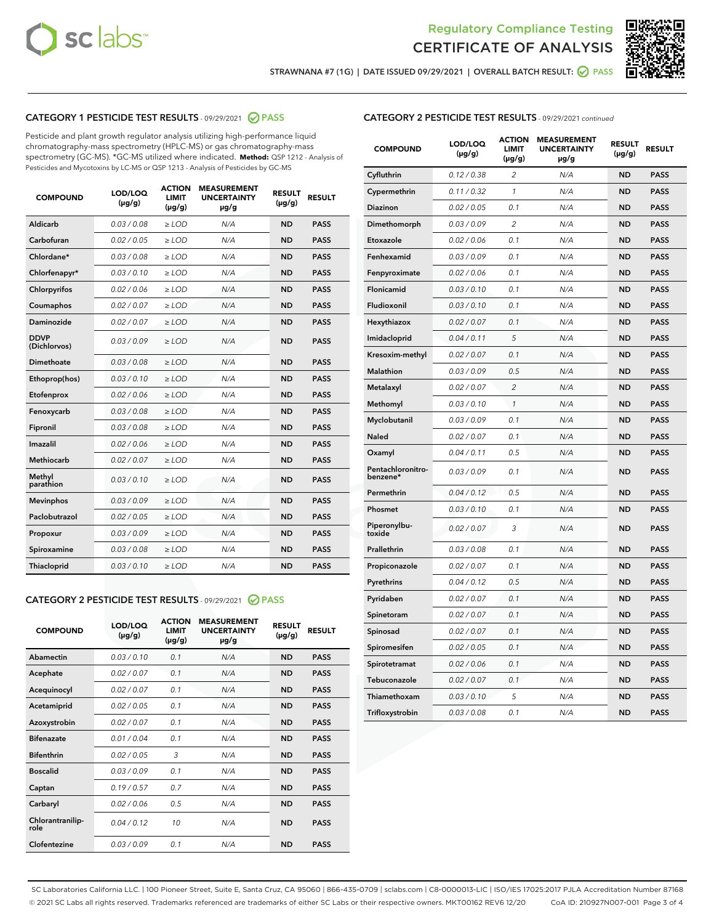



STRAWNANA #7 (1G) | DATE ISSUED 09/29/2021 | OVERALL BATCH RESULT: 2 PASS

# CATEGORY 1 PESTICIDE TEST RESULTS - 09/29/2021 2 PASS

Pesticide and plant growth regulator analysis utilizing high-performance liquid chromatography-mass spectrometry (HPLC-MS) or gas chromatography-mass spectrometry (GC-MS). \*GC-MS utilized where indicated. **Method:** QSP 1212 - Analysis of Pesticides and Mycotoxins by LC-MS or QSP 1213 - Analysis of Pesticides by GC-MS

| <b>COMPOUND</b>             | LOD/LOQ<br>$(\mu g/g)$ | <b>ACTION</b><br><b>LIMIT</b><br>$(\mu g/g)$ | <b>MEASUREMENT</b><br><b>UNCERTAINTY</b><br>µg/g | <b>RESULT</b><br>$(\mu g/g)$ | <b>RESULT</b> |
|-----------------------------|------------------------|----------------------------------------------|--------------------------------------------------|------------------------------|---------------|
| Aldicarb                    | 0.03 / 0.08            | $\geq$ LOD                                   | N/A                                              | <b>ND</b>                    | <b>PASS</b>   |
| Carbofuran                  | 0.02/0.05              | $\ge$ LOD                                    | N/A                                              | <b>ND</b>                    | <b>PASS</b>   |
| Chlordane*                  | 0.03 / 0.08            | $\ge$ LOD                                    | N/A                                              | <b>ND</b>                    | <b>PASS</b>   |
| Chlorfenapyr*               | 0.03/0.10              | $\ge$ LOD                                    | N/A                                              | <b>ND</b>                    | <b>PASS</b>   |
| Chlorpyrifos                | 0.02 / 0.06            | $\ge$ LOD                                    | N/A                                              | <b>ND</b>                    | <b>PASS</b>   |
| Coumaphos                   | 0.02 / 0.07            | $\ge$ LOD                                    | N/A                                              | <b>ND</b>                    | <b>PASS</b>   |
| Daminozide                  | 0.02 / 0.07            | $\ge$ LOD                                    | N/A                                              | <b>ND</b>                    | <b>PASS</b>   |
| <b>DDVP</b><br>(Dichlorvos) | 0.03/0.09              | $\ge$ LOD                                    | N/A                                              | <b>ND</b>                    | <b>PASS</b>   |
| Dimethoate                  | 0.03/0.08              | $\ge$ LOD                                    | N/A                                              | <b>ND</b>                    | <b>PASS</b>   |
| Ethoprop(hos)               | 0.03/0.10              | $\ge$ LOD                                    | N/A                                              | <b>ND</b>                    | <b>PASS</b>   |
| Etofenprox                  | 0.02 / 0.06            | $\ge$ LOD                                    | N/A                                              | <b>ND</b>                    | <b>PASS</b>   |
| Fenoxycarb                  | 0.03/0.08              | $\ge$ LOD                                    | N/A                                              | <b>ND</b>                    | <b>PASS</b>   |
| Fipronil                    | 0.03 / 0.08            | $\ge$ LOD                                    | N/A                                              | <b>ND</b>                    | <b>PASS</b>   |
| Imazalil                    | 0.02 / 0.06            | $\ge$ LOD                                    | N/A                                              | <b>ND</b>                    | <b>PASS</b>   |
| <b>Methiocarb</b>           | 0.02 / 0.07            | $\ge$ LOD                                    | N/A                                              | <b>ND</b>                    | <b>PASS</b>   |
| Methyl<br>parathion         | 0.03/0.10              | $\ge$ LOD                                    | N/A                                              | <b>ND</b>                    | <b>PASS</b>   |
| <b>Mevinphos</b>            | 0.03/0.09              | $\ge$ LOD                                    | N/A                                              | <b>ND</b>                    | <b>PASS</b>   |
| Paclobutrazol               | 0.02 / 0.05            | $\ge$ LOD                                    | N/A                                              | <b>ND</b>                    | <b>PASS</b>   |
| Propoxur                    | 0.03/0.09              | $\ge$ LOD                                    | N/A                                              | <b>ND</b>                    | <b>PASS</b>   |
| Spiroxamine                 | 0.03/0.08              | $\ge$ LOD                                    | N/A                                              | <b>ND</b>                    | <b>PASS</b>   |
| <b>Thiacloprid</b>          | 0.03/0.10              | $\ge$ LOD                                    | N/A                                              | <b>ND</b>                    | <b>PASS</b>   |
|                             |                        |                                              |                                                  |                              |               |

# CATEGORY 2 PESTICIDE TEST RESULTS - 09/29/2021 @ PASS

| <b>COMPOUND</b>          | LOD/LOQ<br>$(\mu g/g)$ | <b>ACTION</b><br>LIMIT<br>$(\mu g/g)$ | <b>MEASUREMENT</b><br><b>UNCERTAINTY</b><br>$\mu$ g/g | <b>RESULT</b><br>$(\mu g/g)$ | <b>RESULT</b> |
|--------------------------|------------------------|---------------------------------------|-------------------------------------------------------|------------------------------|---------------|
| Abamectin                | 0.03/0.10              | 0.1                                   | N/A                                                   | <b>ND</b>                    | <b>PASS</b>   |
| Acephate                 | 0.02/0.07              | 0.1                                   | N/A                                                   | <b>ND</b>                    | <b>PASS</b>   |
| Acequinocyl              | 0.02/0.07              | 0.1                                   | N/A                                                   | <b>ND</b>                    | <b>PASS</b>   |
| Acetamiprid              | 0.02/0.05              | 0.1                                   | N/A                                                   | <b>ND</b>                    | <b>PASS</b>   |
| Azoxystrobin             | 0.02/0.07              | 0.1                                   | N/A                                                   | <b>ND</b>                    | <b>PASS</b>   |
| <b>Bifenazate</b>        | 0.01/0.04              | 0.1                                   | N/A                                                   | <b>ND</b>                    | <b>PASS</b>   |
| <b>Bifenthrin</b>        | 0.02/0.05              | 3                                     | N/A                                                   | <b>ND</b>                    | <b>PASS</b>   |
| <b>Boscalid</b>          | 0.03/0.09              | 0.1                                   | N/A                                                   | <b>ND</b>                    | <b>PASS</b>   |
| Captan                   | 0.19/0.57              | 0.7                                   | N/A                                                   | <b>ND</b>                    | <b>PASS</b>   |
| Carbaryl                 | 0.02/0.06              | 0.5                                   | N/A                                                   | <b>ND</b>                    | <b>PASS</b>   |
| Chlorantranilip-<br>role | 0.04/0.12              | 10                                    | N/A                                                   | <b>ND</b>                    | <b>PASS</b>   |
| Clofentezine             | 0.03/0.09              | 0.1                                   | N/A                                                   | <b>ND</b>                    | <b>PASS</b>   |

#### CATEGORY 2 PESTICIDE TEST RESULTS - 09/29/2021 continued

| <b>COMPOUND</b>               | LOD/LOQ<br>(µg/g) | <b>ACTION</b><br>LIMIT<br>$(\mu g/g)$ | <b>MEASUREMENT</b><br><b>UNCERTAINTY</b><br>µg/g | <b>RESULT</b><br>$(\mu g/g)$ | <b>RESULT</b> |
|-------------------------------|-------------------|---------------------------------------|--------------------------------------------------|------------------------------|---------------|
| Cyfluthrin                    | 0.12 / 0.38       | 2                                     | N/A                                              | <b>ND</b>                    | <b>PASS</b>   |
| Cypermethrin                  | 0.11 / 0.32       | 1                                     | N/A                                              | <b>ND</b>                    | <b>PASS</b>   |
| Diazinon                      | 0.02 / 0.05       | 0.1                                   | N/A                                              | <b>ND</b>                    | <b>PASS</b>   |
| Dimethomorph                  | 0.03 / 0.09       | 2                                     | N/A                                              | <b>ND</b>                    | <b>PASS</b>   |
| Etoxazole                     | 0.02 / 0.06       | 0.1                                   | N/A                                              | <b>ND</b>                    | <b>PASS</b>   |
| Fenhexamid                    | 0.03 / 0.09       | 0.1                                   | N/A                                              | <b>ND</b>                    | <b>PASS</b>   |
| Fenpyroximate                 | 0.02 / 0.06       | 0.1                                   | N/A                                              | <b>ND</b>                    | <b>PASS</b>   |
| Flonicamid                    | 0.03 / 0.10       | 0.1                                   | N/A                                              | <b>ND</b>                    | <b>PASS</b>   |
| Fludioxonil                   | 0.03 / 0.10       | 0.1                                   | N/A                                              | <b>ND</b>                    | <b>PASS</b>   |
| Hexythiazox                   | 0.02 / 0.07       | 0.1                                   | N/A                                              | <b>ND</b>                    | <b>PASS</b>   |
| Imidacloprid                  | 0.04 / 0.11       | 5                                     | N/A                                              | <b>ND</b>                    | <b>PASS</b>   |
| Kresoxim-methyl               | 0.02 / 0.07       | 0.1                                   | N/A                                              | <b>ND</b>                    | <b>PASS</b>   |
| Malathion                     | 0.03 / 0.09       | 0.5                                   | N/A                                              | <b>ND</b>                    | <b>PASS</b>   |
| Metalaxyl                     | 0.02 / 0.07       | $\overline{c}$                        | N/A                                              | <b>ND</b>                    | <b>PASS</b>   |
| Methomyl                      | 0.03 / 0.10       | 1                                     | N/A                                              | <b>ND</b>                    | <b>PASS</b>   |
| Myclobutanil                  | 0.03 / 0.09       | 0.1                                   | N/A                                              | <b>ND</b>                    | <b>PASS</b>   |
| Naled                         | 0.02 / 0.07       | 0.1                                   | N/A                                              | <b>ND</b>                    | <b>PASS</b>   |
| Oxamyl                        | 0.04 / 0.11       | 0.5                                   | N/A                                              | <b>ND</b>                    | <b>PASS</b>   |
| Pentachloronitro-<br>benzene* | 0.03 / 0.09       | 0.1                                   | N/A                                              | <b>ND</b>                    | <b>PASS</b>   |
| Permethrin                    | 0.04/0.12         | 0.5                                   | N/A                                              | <b>ND</b>                    | <b>PASS</b>   |
| Phosmet                       | 0.03 / 0.10       | 0.1                                   | N/A                                              | <b>ND</b>                    | <b>PASS</b>   |
| Piperonylbu-<br>toxide        | 0.02 / 0.07       | 3                                     | N/A                                              | <b>ND</b>                    | <b>PASS</b>   |
| Prallethrin                   | 0.03 / 0.08       | 0.1                                   | N/A                                              | <b>ND</b>                    | <b>PASS</b>   |
| Propiconazole                 | 0.02 / 0.07       | 0.1                                   | N/A                                              | <b>ND</b>                    | <b>PASS</b>   |
| Pyrethrins                    | 0.04 / 0.12       | 0.5                                   | N/A                                              | <b>ND</b>                    | <b>PASS</b>   |
| Pyridaben                     | 0.02 / 0.07       | 0.1                                   | N/A                                              | <b>ND</b>                    | <b>PASS</b>   |
| Spinetoram                    | 0.02 / 0.07       | 0.1                                   | N/A                                              | <b>ND</b>                    | <b>PASS</b>   |
| Spinosad                      | 0.02 / 0.07       | 0.1                                   | N/A                                              | <b>ND</b>                    | <b>PASS</b>   |
| Spiromesifen                  | 0.02 / 0.05       | 0.1                                   | N/A                                              | <b>ND</b>                    | <b>PASS</b>   |
| Spirotetramat                 | 0.02 / 0.06       | 0.1                                   | N/A                                              | <b>ND</b>                    | <b>PASS</b>   |
| Tebuconazole                  | 0.02 / 0.07       | 0.1                                   | N/A                                              | <b>ND</b>                    | <b>PASS</b>   |
| Thiamethoxam                  | 0.03 / 0.10       | 5                                     | N/A                                              | <b>ND</b>                    | <b>PASS</b>   |
| Trifloxystrobin               | 0.03 / 0.08       | 0.1                                   | N/A                                              | <b>ND</b>                    | <b>PASS</b>   |

SC Laboratories California LLC. | 100 Pioneer Street, Suite E, Santa Cruz, CA 95060 | 866-435-0709 | sclabs.com | C8-0000013-LIC | ISO/IES 17025:2017 PJLA Accreditation Number 87168 © 2021 SC Labs all rights reserved. Trademarks referenced are trademarks of either SC Labs or their respective owners. MKT00162 REV6 12/20 CoA ID: 210927N007-001 Page 3 of 4